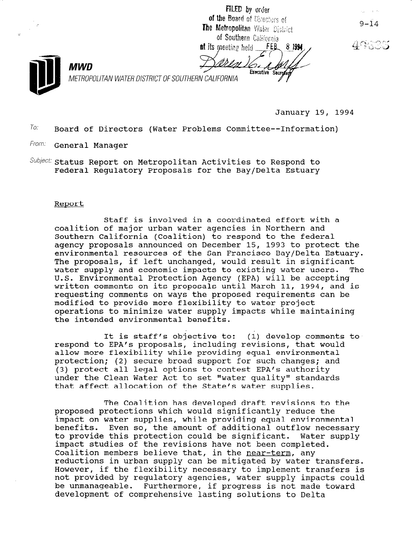FILED by order of the Board of Directors of The Metropolitan Water District of Southern California

 $FEB$ **at its meeting held** 8 1994 Executive Secretar

 $9 - 14$ 



METROPOLITAN WATER DISTRICT OF SOUTHERN CALIFORNIA

January 19, 1994

 $T_0$ : Board of Directors (Water Problems Committee--Information)

From: General Manager

**MWD** 

Subject: Status Report on Metropolitan Activities to Respond to Federal Regulatory Proposals for the Bay/Delta Estuary

## Report

Staff is involved in a coordinated effort with a coalition of major urban water agencies in Northern and Southern California (Coalition) to respond to the federal agency proposals announced on December 15, 1993 to protect the environmental resources of the San Francisco Bay/Delta Estuary. The proposals, if left unchanged, would result in significant water supply and economic impacts to existing water users. The U.S. Environmental Protection Agency (EPA) will be accepting written comments on its proposals until March 11, 1994, and is requesting comments on ways the proposed requirements can be modified to provide more flexibility to water project operations to minimize water supply impacts while maintaining the intended environmental benefits.

It is staff's objective to: (1) develop comments to respond to EPA's proposals, including revisions, that would allow more flexibility while providing equal environmental protection; (2) secure broad support for such changes; and (3) protect all legal options to contest EPA's authority under the Clean Water Act to set "water quality" standards that affect allocation of the State's water supplies.

The Coalition has developed draft revisions to the proposed protections which would significantly reduce the proposed procederons which would significantly feddee the benefits. Even so, the amount of additional outflow necessary penerics. Even so, the amount of additional outflow necessar<br>to provide this protection could be significant. Water supply impact studies of the revisions have not been completed. impact studies of the revisions have not been completed.<br>Coalition members believe that, in the near-term, any coalition members believe that, in the <u>near-term</u>, any<br>neductions in urban supply can be mitigated by water transfe requections in urban supply can be mitigated by water transfers.<br>... However, if the flexibility necessary to implement transfers is not provided by requlatory agencies, water supply impacts could be unmanageable. Furthermore, if progress is not made toward development of comprehensive lasting solutions to Delta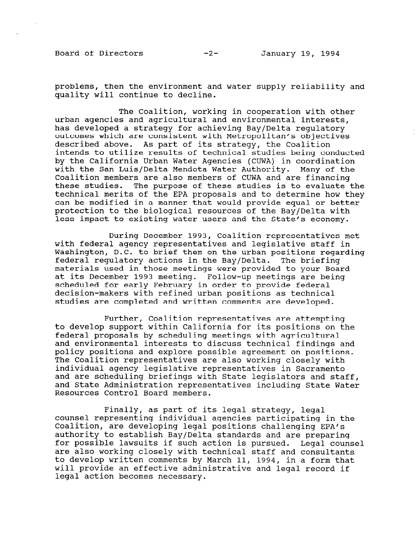Board of Directors -2- January 19, 1994

problems, then the environment and water supply reliability and quality will continue to decline.

The Coalition, working in cooperation with other urban agencies and agricultural and environmental interests, has developed a strategy for achieving Bay/Delta regulatory outcomes which are consistent with Metropolitan's objectives described above. As part of its strategy, the Coalition intends to utilize results of technical studies being conducted by the California Urban Water Agencies (CUWA) in coordination with the San Luis/Delta Mendota Water Authority. Many of the Coalition members are also members of CUWA and are financing these studies. The purpose of these studies is to evaluate the technical merits of the EPA proposals and to determine how they can be modified in a manner that would provide equal or better protection to the biological resources of the Bay/Delta with less impact to existing water users and the State's economy.

During December 1993, Coalition representatives met with federal agency representatives and legislative staff in Washington, D.C. to brief them on the urban positions regarding federal regulatory actions in the Bay/Delta. The briefing materials used in those meetings were provided to your Board at its December 1993 meeting. Follow-up meetings are being scheduled for early February in order to provide federal decision-makers with refined urban positions as technical studies are completed and written comments are developed.

Further, Coalition representatives are attempting to develop support within California for its positions on the federal proposals by scheduling meetings with agricultural and environmental interests to discuss technical findings and policy positions and explore possible agreement on positions. The Coalition representatives are also working closely with individual agency legislative representatives in Sacramento and are scheduling briefings with State legislators and staff, and State Administration representatives including State Water Resources Control Board members.

Finally, as part of its legal strategy, legal rinarry, as part or res regar strategy, regar Coalition, are developing legal positions challenging EPA's Coalition, are developing legal positions challenging EPA's authority to establish Bay/Delta standards and are preparing auchority to establish bay/beita standards and are preparing.<br>for possible latenite if such action is pursued. Legal counse are also working closely with technical staff and consulta are also working crosery with technical start and consultant co develop willeen comments by March 11, 1994, in a form that will provide an effective administrative and legal record if legal action becomes necessary.